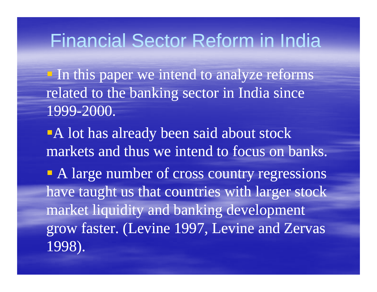In this paper we intend to analyze reforms related to the banking sector in India since 1999-2000.

-A lot has already been said about stock markets and thus we intend to focus on banks.

• A large number of cross country regressions have taught us that countries with larger stock market liquidity and banking development grow faster. (Levine 1997, Levine and Zervas 1998).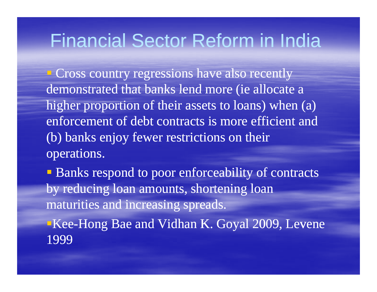**Cross country regressions have also recently** demonstrated that banks lend more (ie allocate a higher proportion of their assets to loans) when (a) enforcement of debt contracts is more efficient and (b) banks enjoy fewer restrictions on their operations.

**Banks respond to poor enforceability of contracts** by reducing loan amounts, shortening loan maturities and increasing spreads.

Kee-Hong Bae and Vidhan K. Goyal 2009, Levene 1999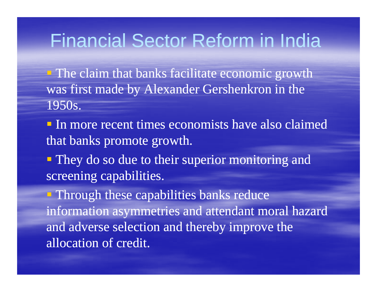**The claim that banks facilitate economic growth** was first made by Alexander Gershenkron in the 1950s.

 $\blacksquare$  In more recent times economists have also claimed that banks promote growth.

• They do so due to their superior monitoring and screening capabilities.

 $\blacksquare$  Through these capabilities banks reduce information asymmetries and attendant moral hazard and adverse selection and thereby improve the allocation of credit.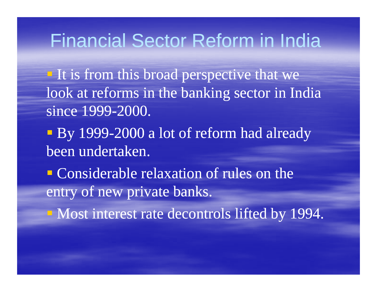$\blacksquare$  It is from this broad perspective that we look at reforms in the banking sector in India since 1999-2000.

e<br>Santa **By 1999-2000 a lot of reform had already** been undertaken.

**Considerable relaxation of rules on the** entry of new private banks.

**Nost interest rate decontrols lifted by 1994.**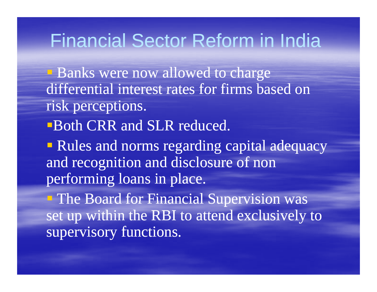- **Banks were now allowed to charge** differential interest rates for firms based on risk perceptions.
- **Both CRR and SLR reduced.**
- **Rules and norms regarding capital adequacy** and recognition and disclosure of non performing loans in place.
- $\blacksquare$  The Board for Financial Supervision was set up within the RBI to attend exclusively to supervisory functions.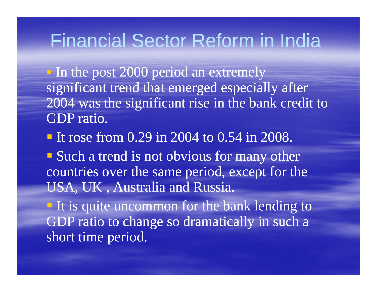In the post 2000 period an extremely significant trend that emerged especially after 2004 was the significant rise in the bank credit to GDP ratio.

- If rose from  $0.29$  in 2004 to 0.54 in 2008.
- Such a trend is not obvious for many other countries over the same period, except for the USA, UK , Australia and Russia.

 $\blacksquare$  It is quite uncommon for the bank lending to GDP ratio to change so dramatically in such a short time period.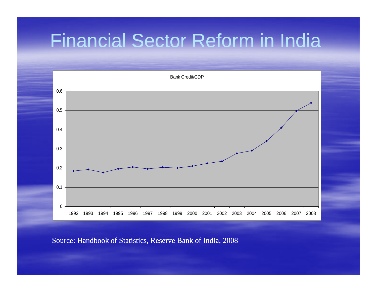

Source: Handbook of Statistics, Reserve Bank of India, 2008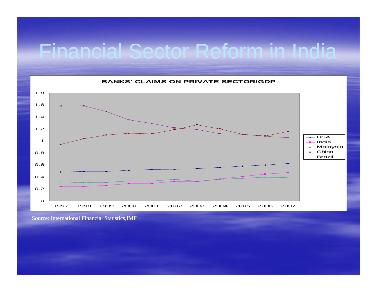

Source: International Financial Statistics,IMF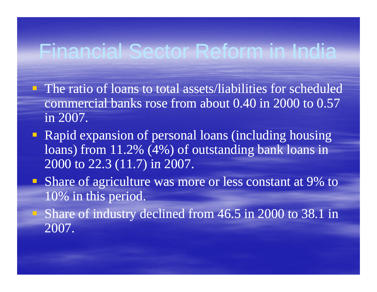- $\blacksquare$  The ratio of loans to total assets/liabilities for scheduled commercial banks rose from about 0.40 in 2000 to 0.57 in 2007.
- Rapid expansion of personal loans (including housing loans) from 11.2% (4%) of outstanding bank loans in 2000 to 22.3 (11.7) in 2007.
- **Share of agriculture was more or less constant at 9% to** 10% in this period.
- Share of industry declined from 46.5 in 2000 to 38.1 in 2007.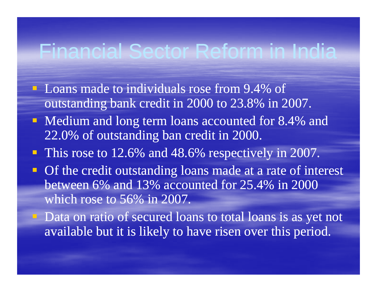- **Loans made to individuals rose from 9.4% of** outstanding bank credit in 2000 to 23.8% in 2007.
- **Medium and long term loans accounted for 8.4% and** 22.0% of outstanding ban credit in 2000.
- **This rose to 12.6% and 48.6% respectively in 2007.**
- **Of the credit outstanding loans made at a rate of interest** between 6% and 13% accounted for 25.4% in 2000 which rose to  $56\%$  in 2007.
- Data on ratio of secured loans to total loans is as yet not available but it is likely to have risen over this period.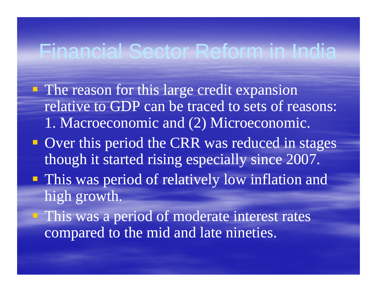- $\blacksquare$  The reason for this large credit expansion relative to GDP can be traced to sets of reasons: 1. Macroeconomic and (2) Microeconomic.
- **Over this period the CRR was reduced in stages** though it started rising especially since 2007.
- This was period of relatively low inflation and high growth.
- **This was a period of moderate interest rates** compared to the mid and late nineties.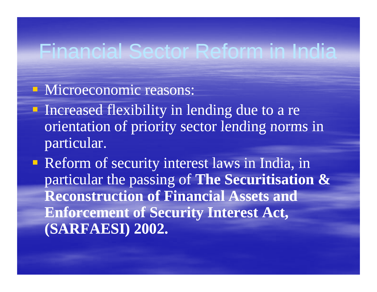#### **• Microeconomic reasons:**

**Increased flexibility in lending due to a re** orientation of priority sector lending norms in particular.

**Reform of security interest laws in India, in** particular the passing of **The Securitisation & Reconstruction of Financial Assets and Enforcement of Security Interest Act, (SARFAESI) 2002.**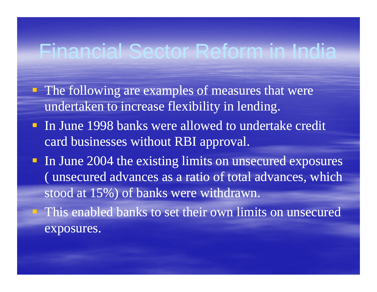- **The following are examples of measures that were** undertaken to increase flexibility in lending.
- **Ioul June 1998 banks were allowed to undertake credit** card businesses without RBI approval.
- In June 2004 the existing limits on unsecured exposures ( unsecured advances as a ratio of total advances, which stood at 15%) of banks were withdrawn.
- This enabled banks to set their own limits on unsecured exposures.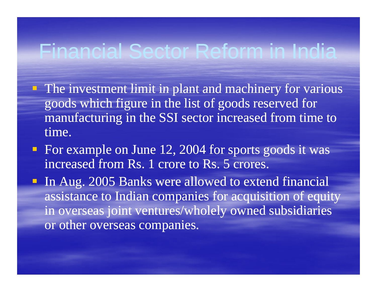- $\blacksquare$  The investment limit in plant and machinery for various goods which figure in the list of goods reserved for manufacturing in the SSI sector increased from time to t ime.
- **For example on June 12, 2004 for sports goods it was** increased from Rs. 1 crore to Rs. 5 crores.
- **Io Aug. 2005 Banks were allowed to extend financial** assistance to Indian companies for acquisition of equity in overseas joint ventures/wholely owned subsidiaries or other overseas companies.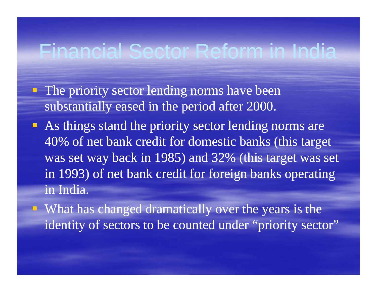- $\blacksquare$  The priority sector lending norms have been substantially eased in the period after 2000.
- **As things stand the priority sector lending norms are** 40% of net bank credit for domestic banks (this target was set way back in 1985) and 32% (this target was set in 1993) of net bank credit for foreign banks operating in India.
	- What has changed dramatically over the years is the identity of sectors to be counted under "priority sector"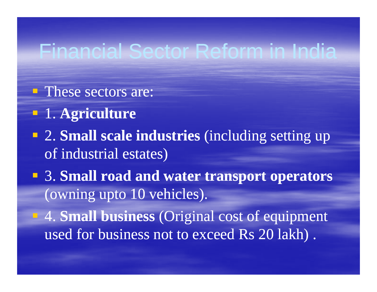- These sectors are:
- 1. **Agriculture**
- **2. Small scale industries** (including setting up of industrial estates)
- 3. **Small road and water transport operators** (owning upto 10 vehicles).
- 4. **Small business** (Original cost of equipment used for business not to exceed Rs 20 lakh).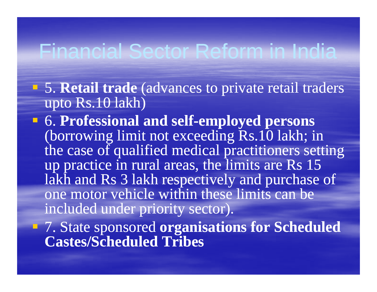- 5. **Retail trade** (advances to private retail traders upto Rs.10 lakh)
- $\blacksquare$  **6. Professional and self-employed persons** (borrowin g limit not exceedin g Rs.10 lakh; in the case of qualified medical practitioners setting up practice in rural areas, the limits are Rs  $15$ lakh and Rs 3 lakh respectively and purchase of one motor vehicle within these limits can be included under priorit y sector).
- 7. State sponsored **organisations for Scheduled C t /S h d l d T ib Cas tes/S ceueTribes**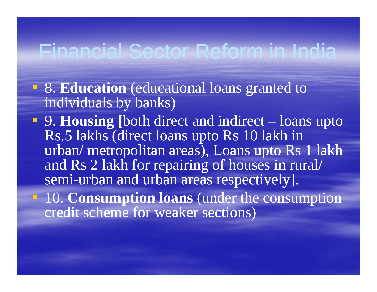- 8. **Education** (educational loans granted to individuals by banks)
- **9. Housing** [both direct and indirect loans upto Rs.5 lakhs (direct loans upto Rs 10 lakh in urban/ metropolitan areas), Loans upto Rs 1 lakh and Rs 2 lakh for repairing of houses in rural/ semi-urban and urban areas respectively].
- **10. Consumption loans** (under the consumption credit scheme for weaker sections)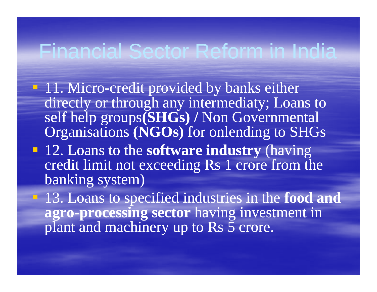- **11. Micro-credit provided by banks either** directly or through any intermediaty; Loans to self help groups**(SHGs) /** Non Governmental Organisations (NGOs) for onlending to SHGs
- 12. Loans to the **software industry** (having credit limit not exceeding Rs 1 crore from the banking system)
- 13 Loans to specified industries in the 13. the**food and agro-processing sector** having investment in plant and machinery up to Rs 5 crore.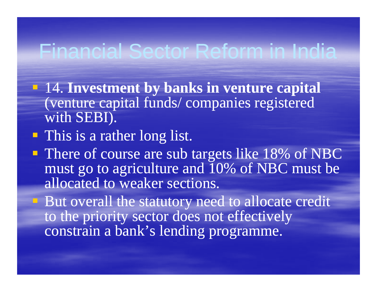- 14. **Investment by banks in venture capital** (venture capital funds/ companies registered with SEBI).
- **This is a rather long list.**
- **There of course are sub targets like 18% of NBC** must go to agriculture and 10% of NBC must be allocated to weaker sections.
- **But overall the statutory need to allocate credit** to the priority sector does not effectively constrain a bank's lending programme.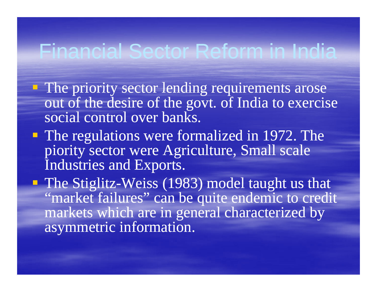- **The priority sector lending requirements arose** out of the desire of the govt. of India to exercise social control over banks.
- The re gulations were formalized in 1972. The piority sector were Agriculture, Small scale Industries and Exports.

The Stiglitz-Weiss (1983) model taught us that "market failures" can be quite endemic to credit markets which are in general characterized by asymmetric information.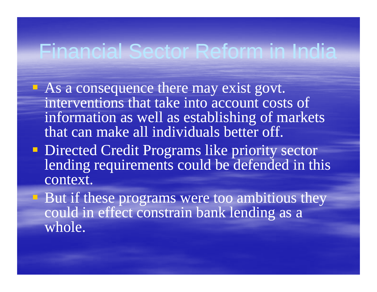- $\blacksquare$  As a consequence there may exist govt. interventions that take into account costs of information as well as establishing of markets that can make all individuals better off.
- **Directed Credit Programs like priority sector** lending requirements could be defended in this context.
- **But if these programs were too ambitious they** could in effect constrain bank lending as a whole.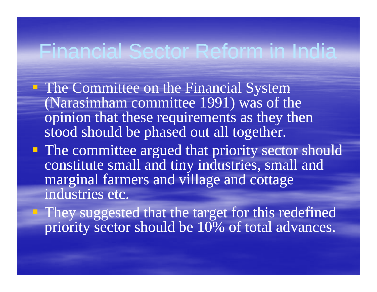- **The Committee on the Financial System** (Narasimham committee 1991) was of the opinion that these requirements as they then stood should be phased out all together.
- **The committee argued that priority sector should** constitute small and tiny industries, small and marginal farmers and village and cottage industries etc.
- **They suggested that the target for this redefined** priority sector should be 10% of total advances.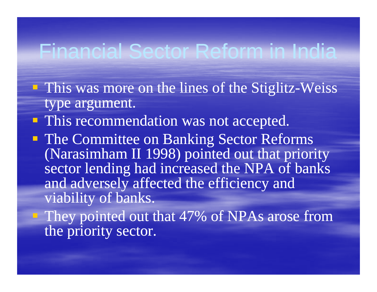- **This was more on the lines of the Stiglitz-Weiss** type argument.
- **This recommendation was not accepted.**
- **The Committee on Banking Sector Reforms** (Narasimham II 1998) pointed out that priority sector lending had increased the NPA of banks and adversely affected the efficiency and viability of banks.
- **They pointed out that 47% of NPAs arose from** the priority sector.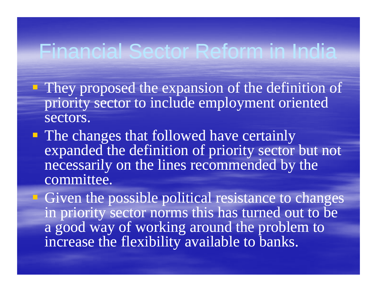- $\blacksquare$  They proposed the expansion of the definition of priority sector to include employment oriented sectors.
- **The changes that followed have certainly** expanded the definition of priority sector but not necessarily on the lines recommended by the committee.

Given the possible political resistance to changes in priority sector norms this has turned out to be a good way of working around the problem to increase the flexibility available to banks.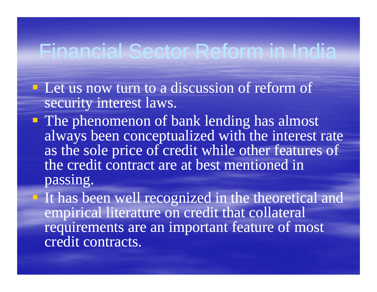- $\blacksquare$  Let us now turn to a discussion of reform of security interest laws.
- **The phenomenon of bank lending has almost** alwa ys been conceptualized with the interest rate as the sole price of credit while other features of the credit contract are at best mentioned in passing.
- **If has been well recognized in the theoretical and** empirical literature on credit that collateral requirements are an important feature of most credit contracts.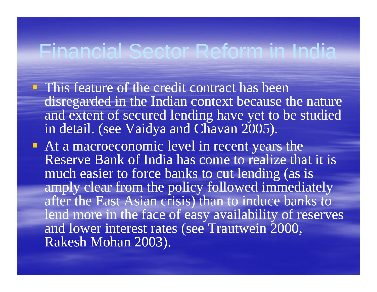- **This feature of the credit contract has been** disregarded in the Indian context because the nature and extent of secured lending have yet to be studied in detail. (see Vaidya and Chavan 2005).
- At a macroeconomic level in recent years the Reserve Bank of India has come to realize that it is much easier to force banks to cut lending (as is amply clear from the policy followed immediately after the East Asian crisis) than to induce banks to lend more in the face of easy availability of reserves and lower interest rates (see Trautwein 2000, Rakesh Mohan 2003).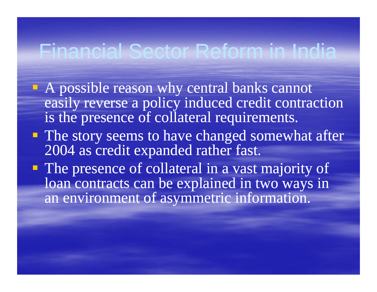- A possible reason why central banks cannot cannot easily reverse a policy induced credit contraction is the presence of collateral requirements.
- **The story seems to have changed somewhat after** 2004 as credit expanded rather fast.
- The presence of collateral in a vast majority of loan contracts can be explained in two ways in an environment of asymmetric information.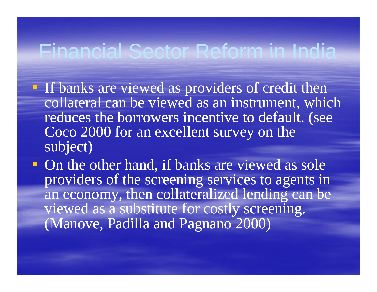- **If banks are viewed as providers of credit then** collateral can be viewed as an instrument, which reduces the borrowers incentive to default. (see Coco 2000 for an excellent survey on the subject)
- $\blacksquare$  On the other hand, if banks are viewed as sole providers of the screening services to agents in an economy, then collateralized lending can be viewed as a substitute for costl y screenin g. (Manove, Padilla and Pagnano 2000)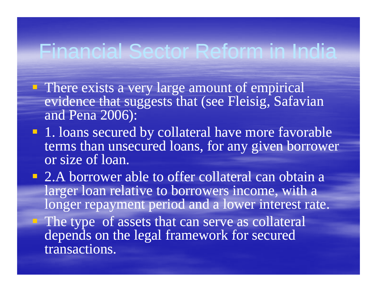- **There exists a very large amount of empirical** evidence that suggests that (see Fleisig, Safavian and Pena 2006):
- 1. loans secured by collateral have more favorable terms than unsecured loans, for any given borrower or size of loan.
- **2.A borrower able to offer collateral can obtain a** larger loan relative to borrowers income, with a longer repayment period and a lower interest rate. **The type of assets that can serve as collateral** depends on the legal framework for secured transactions.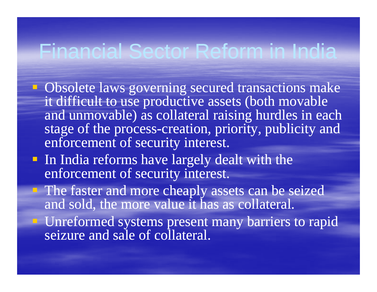- **Obsolete laws governing secured transactions make** it difficult to use productive assets (both movable and unmovable) as collateral raising hurdles in each stage of the process-creation, priority, publicity and enforcement of security interest.
- **Iomia** In India reforms have largely dealt with the enforcement of security interest.
- The faster and more cheaply assets can be seized and sold, the more value it has as collateral.
- **Unreformed systems present many barriers to rapid** seizure and sale of collateral.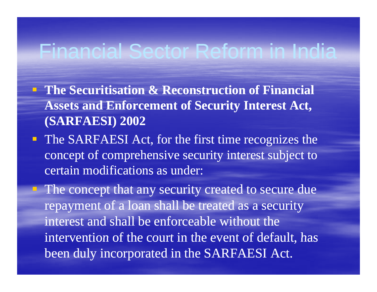- **The Securitisation & Reconstruction of Financial Assets and Enforcement of Security Interest Act, ( ) SARFAESI ) 2002**
- The SARFAESI Act, for the first time recognizes the concept of comprehensive security interest subject to certain modifications as under:

 The concept that any security created to secure due repayment of a loan shall be treated as a security interest and shall be enforceable without the intervention of the court in the event of default, has been duly incorporated in the SARFAESI Act.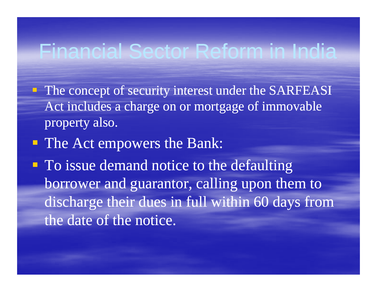- **The concept of security interest under the SARFEASI** Act includes a charge on or mortgage of immovable property also.
- **The Act empowers the Bank:**
- $\blacksquare$  To issue demand notice to the defaulting borrower and guarantor, calling upon them to discharge their dues in full within 60 days from the date of the notice.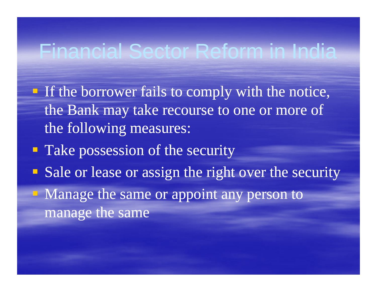- If the borrower fails to comply with the notice, the Bank may take recourse to one or more of the following measures:
- **Take possession of the security**
- Sale or lease or assign the right over the security
- Manage the same or appoint any person to manage the same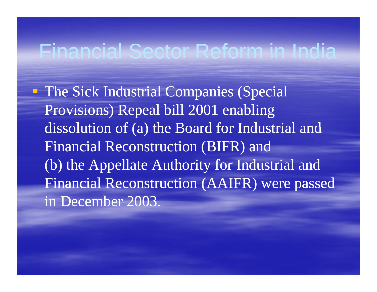**The Sick Industrial Companies (Special** Provisions) Repeal bill 2001 enabling dissolution of (a) the Board for Industrial and Financial Reconstruction (BIFR) and (b) the Appellate Authority for Industrial and Financial Reconstruction (AAIFR) were passed in December 2003.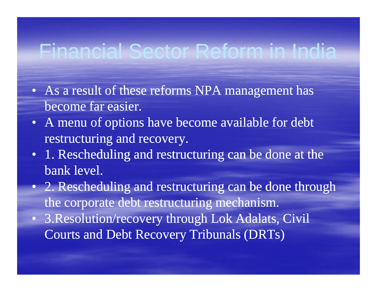- As a result of these reforms NPA management has become far easier.
- A menu of options have become available for debt restructuring and recovery.
- 1. Rescheduling and restructuring can be done at the bank level.
- 2. Rescheduling and restructuring can be done through the corporate debt restructuring mechanism.
- 3. Resolution/recovery through Lok Adalats, Civil Courts and Debt Recovery Tribunals (DRTs)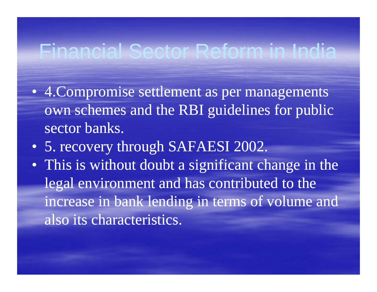- 4. Compromise settlement as per managements own schemes and the RBI guidelines for public sector banks.
- 5. recovery through SAFAESI 2002.
- This is without doubt <sup>a</sup> significant change in the legal environment and has contributed to the increase in bank lending in terms of volume and also its characteristics.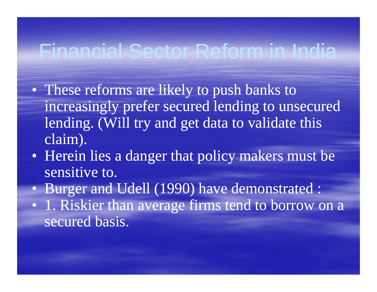- These reforms are likely to push banks to increasingly prefer secured lending to unsecured lending. (Will try and get data to validate this claim).
- Herein lies a danger that policy makers must be sensitive to.
- Burger and Udell (1990) have demonstrated :
- 1. Riskier than average firms tend to borrow on a secured basis.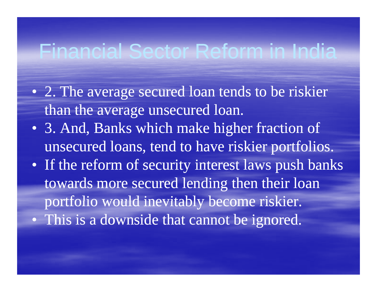- 2. The average secured loan tends to be riskier than the average unsecured loan.
- 3. And, Banks which make higher fraction of unsecured loans, tend to have riskier portfolios.
- If the reform of security interest laws push banks towards more secured lending then their loan portfolio would inevitably become riskier.
- This is a downside that cannot be ignored.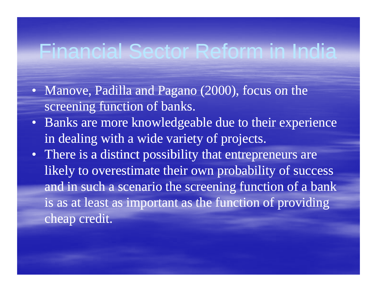- Manove, Padilla and Pagano  $(2000)$ , focus on the screening function of banks.
- Banks are more knowledgeable due to their experience in dealing with a wide variety of projects.
- There is a distinct possibility that entrepreneurs are likely to overestimate their own probability of success and in such a scenario the screening function of a bank is as at least as important as the function of providing cheap credit.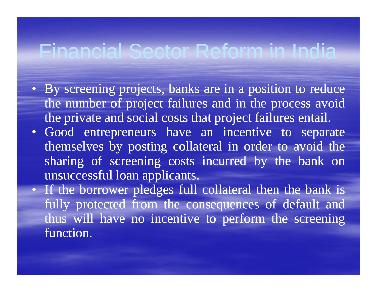- By screening projects, banks are in a position to reduce the number of project failures and in the process avoid the private and social costs that project failures entail.
- Good entrepreneurs have an incentive to separate themselves by posting collateral in order to avoid the sharing of screening costs incurred by the bank on unsuccessful loan applicants.
- If the borrower pledges full collateral then the bank is fully protected from the consequences of default and thus will have no incentive to perform the screening function.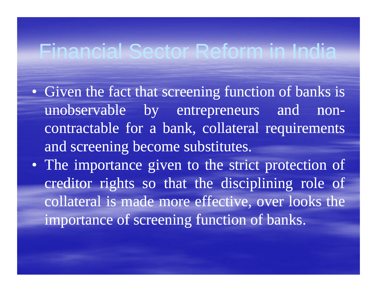- Given the fact that screening function of banks is unobservable by entrepreneurs and noncontractable for a bank, collateral requirements and screening become substitutes.
- The importance given to the strict protection of creditor rights so that the disciplining role of collateral is made more effective, over looks the importance of screening function of banks.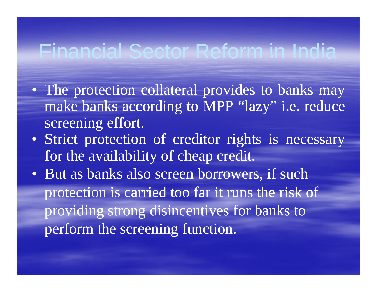- The protection collateral provides to banks may make banks according to MPP "lazy" i.e. reduce screening effort.
- Strict protection of creditor rights is necessary for the availability of cheap credit.
- But as banks also screen borrowers, if such protection is carried too far it runs the risk of providing strong disincentives for banks to perform the screening function.